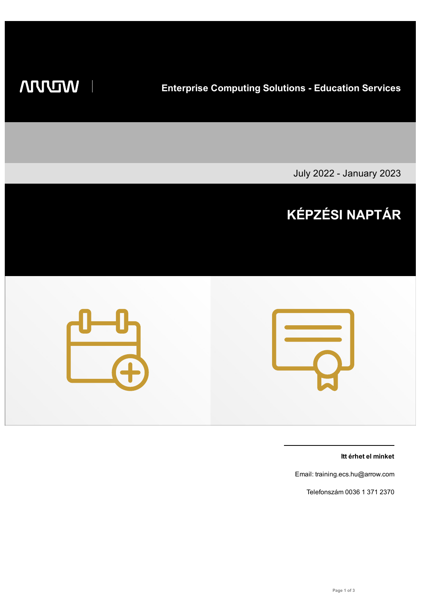## **WIDDIN**

**Enterprise Computing Solutions - Education Services**

July 2022 - January 2023

# **KÉPZÉSI NAPTÁR**



**Itt érhet el minket**

Email: training.ecs.hu@arrow.com

Telefonszám 0036 1 371 2370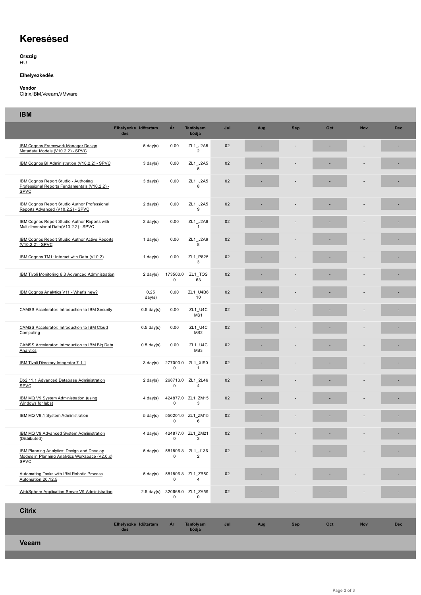### **Keresésed**

**Ország** HU

#### **Elhelyezkedés**

#### **Vendor**

Citrix,IBM,Veeam,VMware

#### **IBM**

| --                                                                                                                  | Elhelyezke Időtartam        | Ár                      | Tanfolyam                           | Jul | Aug | <b>Sep</b> | Oct | <b>Nov</b> | <b>Dec</b> |
|---------------------------------------------------------------------------------------------------------------------|-----------------------------|-------------------------|-------------------------------------|-----|-----|------------|-----|------------|------------|
|                                                                                                                     | dés                         |                         | kódja                               |     |     |            |     |            |            |
| <b>IBM Cognos Framework Manager Design</b><br>Metadata Models (V10.2.2) - SPVC                                      | $5 \text{ day}(s)$          | 0.00                    | ZL1_J2A5<br>2                       | 02  |     |            |     |            | ×,         |
| IBM Cognos BI Administration (V10.2.2) - SPVC                                                                       | $3 \text{ day}(s)$          | 0.00                    | ZL1_J2A5<br>5                       | 02  |     |            |     |            |            |
| IBM Cognos Report Studio - Authoring<br>Professional Reports Fundamentals (V10.2.2) -<br>SPVC                       | $3 \text{ day}(s)$          | 0.00                    | ZL1_J2A5<br>8                       | 02  |     |            |     |            |            |
| IBM Cognos Report Studio Author Professional<br>Reports Advanced (V10.2.2) - SPVC                                   | $2 \text{ day}(s)$          | 0.00                    | ZL1_J2A5<br>9                       | 02  |     |            |     |            |            |
| IBM Cognos Report Studio Author Reports with<br>Multidimensional Data(V10.2.2) - SPVC                               | $2 \text{ day}(s)$          | 0.00                    | ZL1_J2A6<br>$\mathbf{1}$            | 02  |     |            |     |            |            |
| IBM Cognos Report Studio Author Active Reports<br>(V10.2.2) - SPVC                                                  | 1 day $(s)$                 | 0.00                    | ZL1_J2A9<br>8                       | 02  |     |            |     |            |            |
| IBM Cognos TM1: Interact with Data (V10.2)                                                                          | 1 day(s)                    | 0.00                    | ZL1 P825<br>3                       | 02  |     |            |     |            |            |
| IBM Tivoli Monitoring 6.3 Advanced Administration                                                                   | $2 \text{ day}(s)$          | 173500.0<br>$\mathbf 0$ | ZL1_TOS<br>63                       | 02  |     |            |     |            |            |
| IBM Cognos Analytics V11 - What's new?                                                                              | 0.25<br>day(s)              | 0.00                    | ZL1 U4B6<br>10                      | 02  |     |            |     |            |            |
| <b>CAMSS Accelerator: Introduction to IBM Security</b>                                                              | $0.5$ day(s)                | 0.00                    | ZL1 U4C<br>MS1                      | 02  |     |            |     |            |            |
| <b>CAMSS Accelerator: Introduction to IBM Cloud</b><br>Computing                                                    | $0.5$ day(s)                | 0.00                    | ZL1_U4C<br>MS <sub>2</sub>          | 02  |     |            |     |            |            |
| CAMSS Accelerator: Introduction to IBM Big Data<br>Analytics                                                        | $0.5$ day(s)                | 0.00                    | ZL1_U4C<br>MS3                      | 02  |     |            |     |            |            |
| IBM Tivoli Directory Integrator 7.1.1                                                                               | $3 \text{ day}(s)$          | 277000.0<br>$\pmb{0}$   | ZL1 XIS0<br>$\mathbf{1}$            | 02  |     |            |     |            |            |
| Db2 11.1 Advanced Database Administration<br><b>SPVC</b>                                                            | $2 \text{ day}(s)$          | $\mathbf 0$             | 268713.0 ZL1_2L46<br>$\overline{4}$ | 02  |     |            |     |            |            |
| IBM MQ V9 System Administration (using<br>Windows for labs)                                                         | $4 \text{ day}(s)$          | 0                       | 424877.0 ZL1 ZM15<br>3              | 02  |     |            |     |            |            |
| IBM MQ V9.1 System Administration                                                                                   | $5 \text{ day}(s)$          | 0                       | 550201.0 ZL1 ZM15<br>6              | 02  |     |            |     |            |            |
| IBM MQ V9 Advanced System Administration<br>(Distributed)                                                           |                             | 0                       | 4 day(s) 424877.0 ZL1_ZM21<br>3     | 02  |     |            |     |            |            |
| <b>IBM Planning Analytics: Design and Develop</b><br>Models in Planning Analytics Workspace (V2.0.x)<br><b>SPVC</b> | $5 \text{ day}(s)$          | 0                       | 581806.8 ZL1 J136<br>$\overline{2}$ | 02  |     |            |     |            |            |
| Automating Tasks with IBM Robotic Process<br>Automation 20.12.5                                                     | $5 \text{ day}(s)$          | 0                       | 581806.8 ZL1_ZB50<br>$\overline{4}$ | 02  |     |            |     |            |            |
| WebSphere Application Server V9 Administration                                                                      | $2.5 \text{ day(s)}$        | 0                       | 320668.0 ZL1 ZA59<br>0              | 02  |     |            |     |            |            |
| <b>Citrix</b>                                                                                                       |                             |                         |                                     |     |     |            |     |            |            |
|                                                                                                                     | Elhelyezke Időtartam<br>dés | Ár                      | Tanfolyam<br>kódja                  | Jul | Aug | <b>Sep</b> | Oct | <b>Nov</b> | <b>Dec</b> |
| <b>Veeam</b>                                                                                                        |                             |                         |                                     |     |     |            |     |            |            |